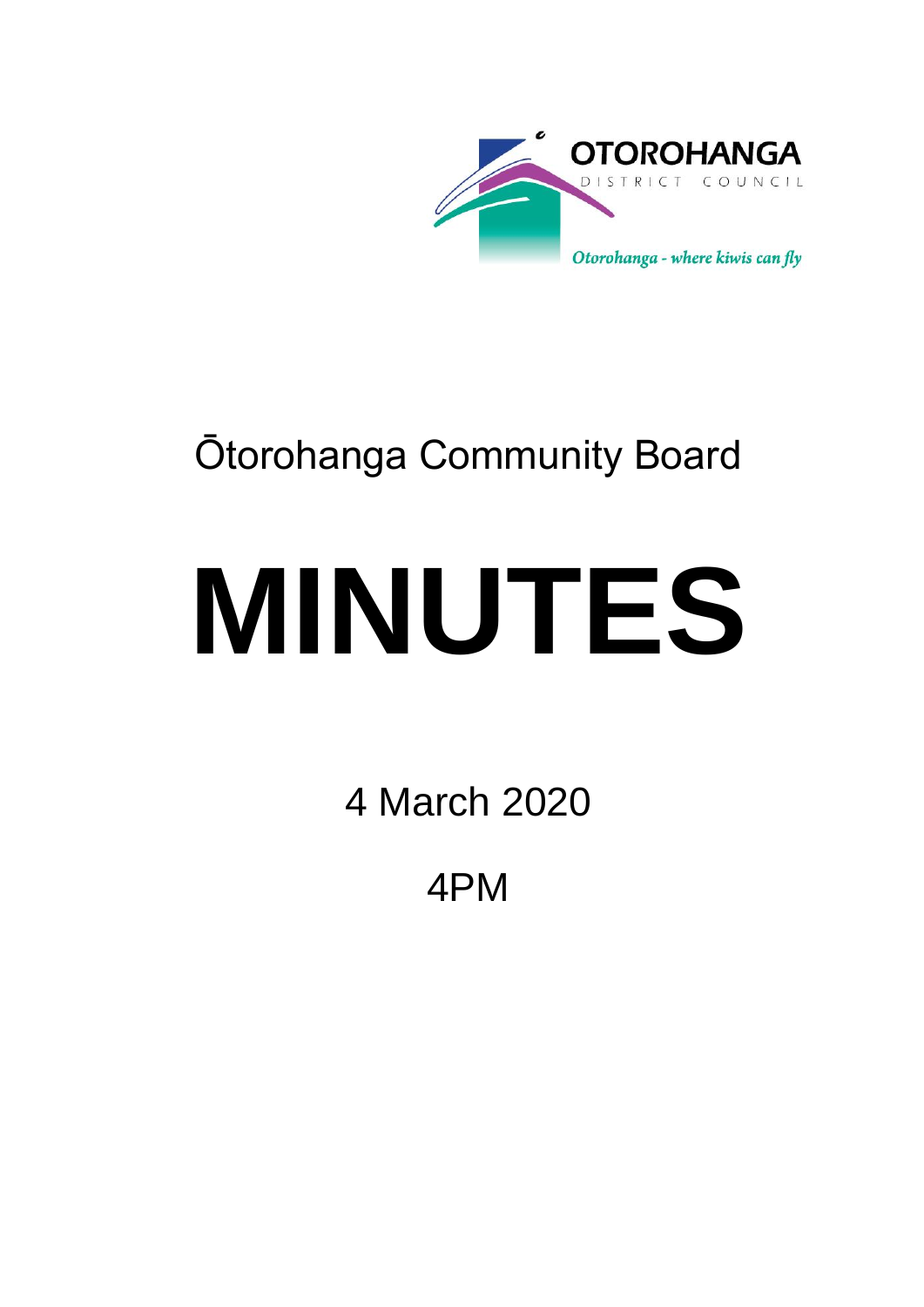

## Ōtorohanga Community Board

# **MINUTES**

4 March 2020

4PM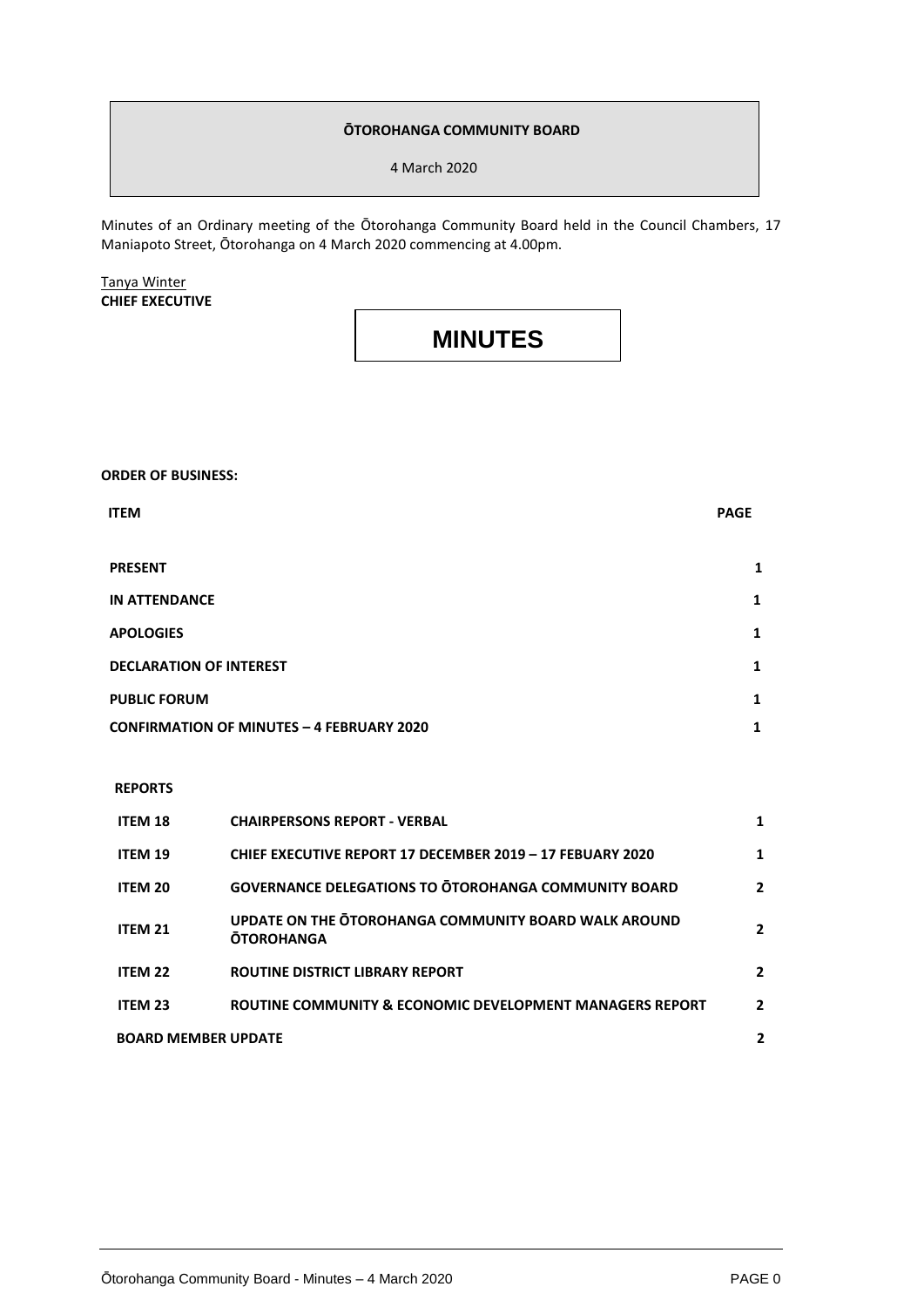#### **ŌTOROHANGA COMMUNITY BOARD**

4 March 2020

Minutes of an Ordinary meeting of the Ōtorohanga Community Board held in the Council Chambers, 17 Maniapoto Street, Ōtorohanga on 4 March 2020 commencing at 4.00pm.

Tanya Winter **CHIEF EXECUTIVE**

### **MINUTES**

**ORDER OF BUSINESS:**

| <b>ITEM</b>                                      | <b>PAGE</b> |
|--------------------------------------------------|-------------|
|                                                  |             |
| <b>PRESENT</b>                                   | 1           |
| <b>IN ATTENDANCE</b>                             | 1           |
| <b>APOLOGIES</b>                                 | 1           |
| <b>DECLARATION OF INTEREST</b>                   | 1           |
| <b>PUBLIC FORUM</b>                              | 1           |
| <b>CONFIRMATION OF MINUTES - 4 FEBRUARY 2020</b> | 1           |

#### **REPORTS**

| <b>ITEM 18</b>             | <b>CHAIRPERSONS REPORT - VERBAL</b>                                       |              |
|----------------------------|---------------------------------------------------------------------------|--------------|
| ITEM 19                    | CHIEF EXECUTIVE REPORT 17 DECEMBER 2019 - 17 FEBUARY 2020                 | 1            |
| <b>ITEM 20</b>             | <b>GOVERNANCE DELEGATIONS TO OTOROHANGA COMMUNITY BOARD</b>               | $\mathbf{2}$ |
| <b>ITEM 21</b>             | UPDATE ON THE OTOROHANGA COMMUNITY BOARD WALK AROUND<br><b>OTOROHANGA</b> | 2            |
| ITEM <sub>22</sub>         | <b>ROUTINE DISTRICT LIBRARY REPORT</b>                                    | $\mathbf{2}$ |
| <b>ITEM 23</b>             | ROUTINE COMMUNITY & ECONOMIC DEVELOPMENT MANAGERS REPORT                  | $\mathbf{2}$ |
| <b>BOARD MEMBER UPDATE</b> |                                                                           | 2            |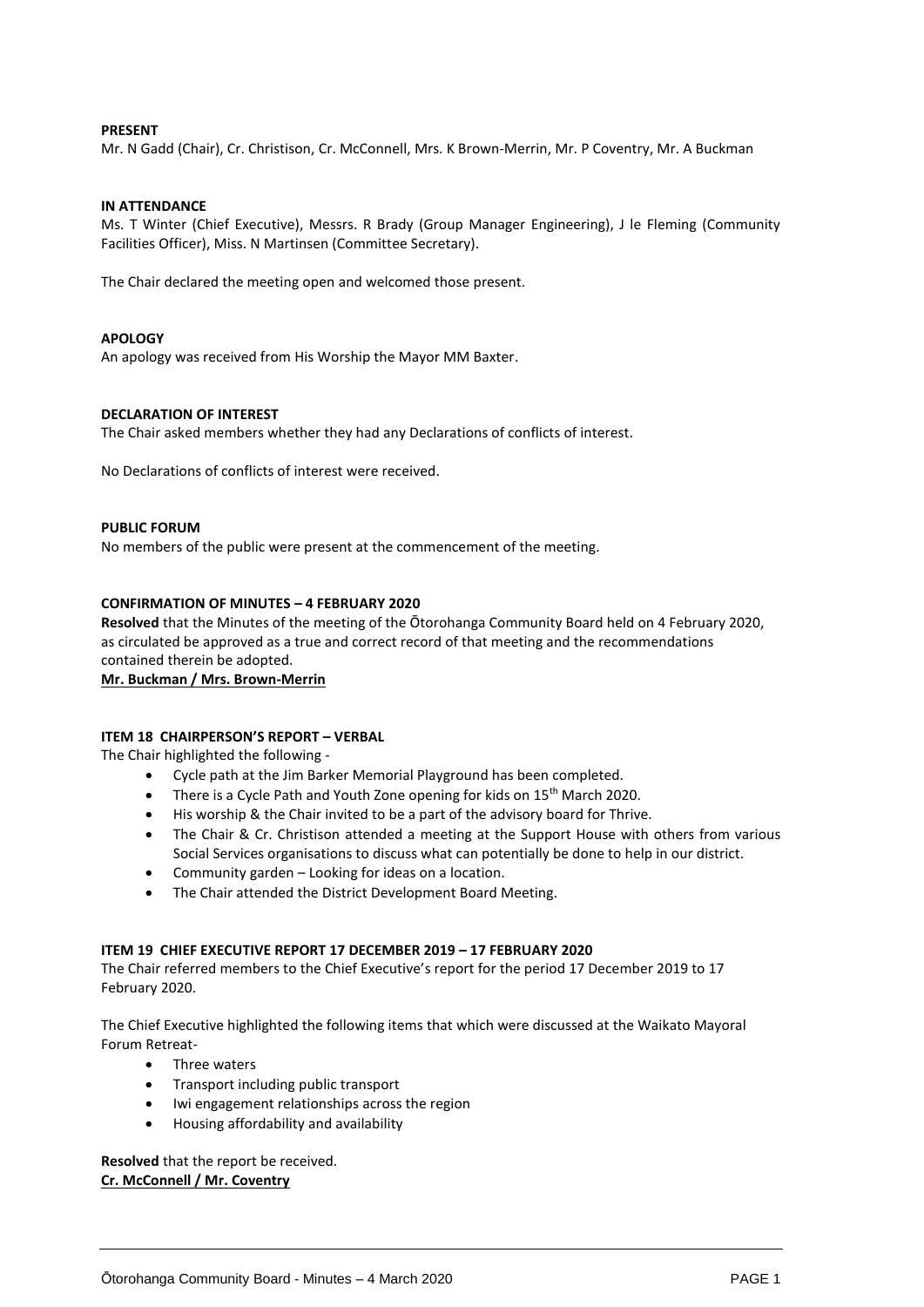#### **PRESENT**

Mr. N Gadd (Chair), Cr. Christison, Cr. McConnell, Mrs. K Brown-Merrin, Mr. P Coventry, Mr. A Buckman

#### **IN ATTENDANCE**

Ms. T Winter (Chief Executive), Messrs. R Brady (Group Manager Engineering), J le Fleming (Community Facilities Officer), Miss. N Martinsen (Committee Secretary).

The Chair declared the meeting open and welcomed those present.

#### **APOLOGY**

An apology was received from His Worship the Mayor MM Baxter.

#### **DECLARATION OF INTEREST**

The Chair asked members whether they had any Declarations of conflicts of interest.

No Declarations of conflicts of interest were received.

#### **PUBLIC FORUM**

No members of the public were present at the commencement of the meeting.

#### **CONFIRMATION OF MINUTES – 4 FEBRUARY 2020**

**Resolved** that the Minutes of the meeting of the Ōtorohanga Community Board held on 4 February 2020, as circulated be approved as a true and correct record of that meeting and the recommendations contained therein be adopted.

**Mr. Buckman / Mrs. Brown-Merrin**

#### **ITEM 18 CHAIRPERSON'S REPORT – VERBAL**

The Chair highlighted the following -

- Cycle path at the Jim Barker Memorial Playground has been completed.
- There is a Cycle Path and Youth Zone opening for kids on 15<sup>th</sup> March 2020.
- His worship & the Chair invited to be a part of the advisory board for Thrive.
- The Chair & Cr. Christison attended a meeting at the Support House with others from various Social Services organisations to discuss what can potentially be done to help in our district.
- Community garden Looking for ideas on a location.
- The Chair attended the District Development Board Meeting.

#### **ITEM 19 CHIEF EXECUTIVE REPORT 17 DECEMBER 2019 – 17 FEBRUARY 2020**

The Chair referred members to the Chief Executive's report for the period 17 December 2019 to 17 February 2020.

The Chief Executive highlighted the following items that which were discussed at the Waikato Mayoral Forum Retreat-

- Three waters
- Transport including public transport
- Iwi engagement relationships across the region
- Housing affordability and availability

**Resolved** that the report be received. **Cr. McConnell / Mr. Coventry**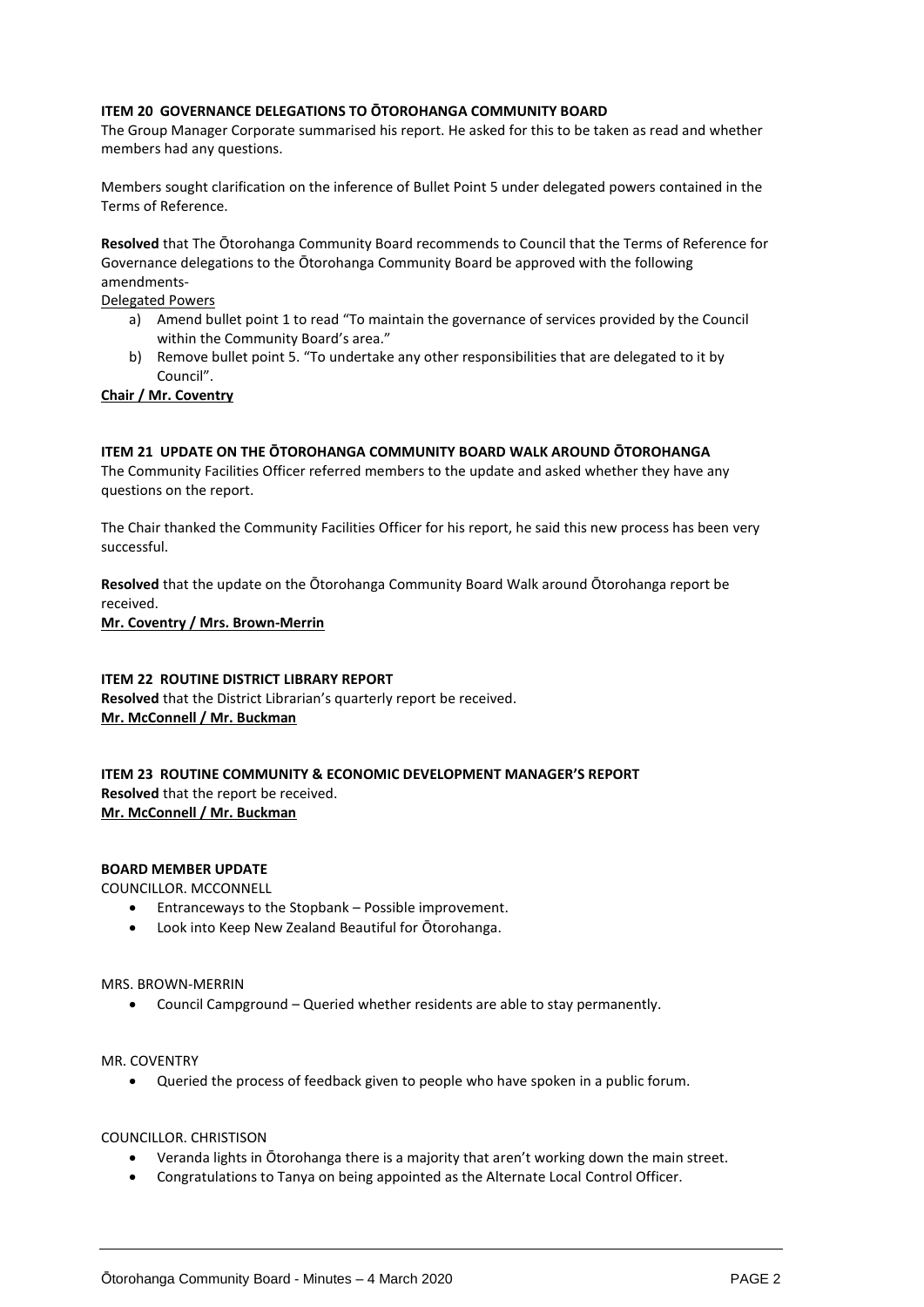#### **ITEM 20 GOVERNANCE DELEGATIONS TO ŌTOROHANGA COMMUNITY BOARD**

The Group Manager Corporate summarised his report. He asked for this to be taken as read and whether members had any questions.

Members sought clarification on the inference of Bullet Point 5 under delegated powers contained in the Terms of Reference.

**Resolved** that The Ōtorohanga Community Board recommends to Council that the Terms of Reference for Governance delegations to the Ōtorohanga Community Board be approved with the following amendments-

Delegated Powers

- a) Amend bullet point 1 to read "To maintain the governance of services provided by the Council within the Community Board's area."
- b) Remove bullet point 5. "To undertake any other responsibilities that are delegated to it by Council".

#### **Chair / Mr. Coventry**

#### **ITEM 21 UPDATE ON THE ŌTOROHANGA COMMUNITY BOARD WALK AROUND ŌTOROHANGA**

The Community Facilities Officer referred members to the update and asked whether they have any questions on the report.

The Chair thanked the Community Facilities Officer for his report, he said this new process has been very successful.

**Resolved** that the update on the Ōtorohanga Community Board Walk around Ōtorohanga report be received.

**Mr. Coventry / Mrs. Brown-Merrin**

#### **ITEM 22 ROUTINE DISTRICT LIBRARY REPORT**

**Resolved** that the District Librarian's quarterly report be received. **Mr. McConnell / Mr. Buckman**

**ITEM 23 ROUTINE COMMUNITY & ECONOMIC DEVELOPMENT MANAGER'S REPORT Resolved** that the report be received. **Mr. McConnell / Mr. Buckman**

#### **BOARD MEMBER UPDATE**

COUNCILLOR. MCCONNELL

- Entranceways to the Stopbank Possible improvement.
- Look into Keep New Zealand Beautiful for Ōtorohanga.

MRS. BROWN-MERRIN

Council Campground – Queried whether residents are able to stay permanently.

MR. COVENTRY

Queried the process of feedback given to people who have spoken in a public forum.

#### COUNCILLOR. CHRISTISON

- Veranda lights in Ōtorohanga there is a majority that aren't working down the main street.
- Congratulations to Tanya on being appointed as the Alternate Local Control Officer.